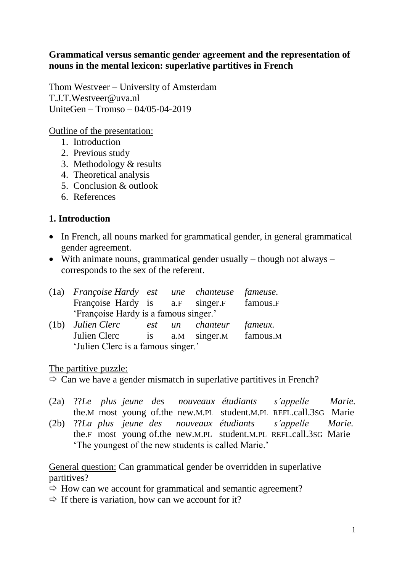#### **Grammatical versus semantic gender agreement and the representation of nouns in the mental lexicon: superlative partitives in French**

Thom Westveer – University of Amsterdam [T.J.T.Westveer@uva.nl](mailto:T.J.T.Westveer@uva.nl) UniteGen – Tromso – 04/05-04-2019

Outline of the presentation:

- 1. Introduction
- 2. Previous study
- 3. Methodology & results
- 4. Theoretical analysis
- 5. Conclusion & outlook
- 6. References

## **1. Introduction**

- In French, all nouns marked for grammatical gender, in general grammatical gender agreement.
- With animate nouns, grammatical gender usually though not always corresponds to the sex of the referent.

| (1a) Françoise Hardy est une chanteuse fameuse. |      |                 |          |          |
|-------------------------------------------------|------|-----------------|----------|----------|
| Françoise Hardy is a.F singer.F                 |      |                 |          | famous.F |
| 'Françoise Hardy is a famous singer.'           |      |                 |          |          |
| $(1b)$ Julien Clerc                             | est  | $\mathfrak{u}n$ | chanteur | fameux.  |
| Julien Clerc                                    | 1S — | a.M             | singer.M | famous.M |

'Julien Clerc is a famous singer.'

The partitive puzzle:

 $\Rightarrow$  Can we have a gender mismatch in superlative partitives in French?

- (2a) ??*Le plus jeune des nouveaux étudiants s'appelle Marie.* the.M most young of.the new.M.PL student.M.PL REFL.call.3SG Marie
- (2b) ??*La plus jeune des nouveaux étudiants s'appelle Marie.* the.F most young of.the new.M.PL student.M.PL REFL.call.3SG Marie 'The youngest of the new students is called Marie.'

General question: Can grammatical gender be overridden in superlative partitives?

- $\Rightarrow$  How can we account for grammatical and semantic agreement?
- $\Rightarrow$  If there is variation, how can we account for it?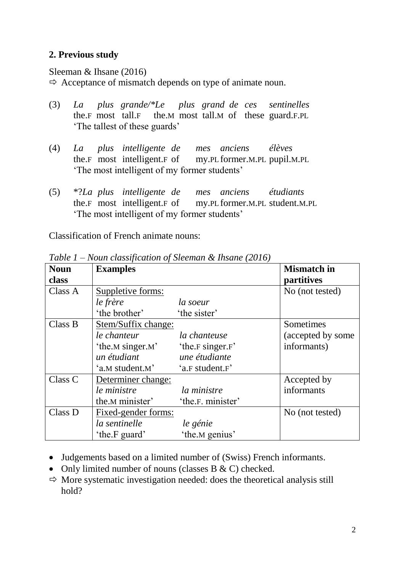#### **2. Previous study**

Sleeman & Ihsane (2016)

 $\Rightarrow$  Acceptance of mismatch depends on type of animate noun.

- (3) *La plus grande/\*Le plus grand de ces sentinelles* the.F most tall.F the.M most tall.M of these guard.F.PL 'The tallest of these guards'
- (4) *La plus intelligente de mes anciens élèves* the.F most intelligent.F of my.PL former.M.PL pupil.M.PL 'The most intelligent of my former students'
- (5) \*?*La plus intelligente de mes anciens étudiants* the.F most intelligent.F of my.PL former.M.PL student.M.PL 'The most intelligent of my former students'

Classification of French animate nouns:

| <b>Noun</b> | <b>Examples</b>     |                   | <b>Mismatch</b> in |
|-------------|---------------------|-------------------|--------------------|
| class       |                     |                   | <i>partitives</i>  |
| Class A     | Suppletive forms:   |                   | No (not tested)    |
|             | le frère            | la soeur          |                    |
|             | 'the brother'       | 'the sister'      |                    |
| Class B     | Stem/Suffix change: |                   | Sometimes          |
|             | le chanteur         | la chanteuse      | (accepted by some) |
|             | 'the.M singer.M'    | 'the.F singer.F'  | informants)        |
|             | un étudiant         | une étudiante     |                    |
|             | 'a.M student.M'     | 'a.F student.F'   |                    |
| Class C     | Determiner change:  |                   | Accepted by        |
|             | le ministre         | la ministre       | informants         |
|             | the M minister'     | 'the.F. minister' |                    |
| Class D     | Fixed-gender forms: |                   | No (not tested)    |
|             | la sentinelle       | le génie          |                    |
|             | 'the.F guard'       | 'the.M genius'    |                    |

*Table 1 – Noun classification of Sleeman & Ihsane (2016)*

- Judgements based on a limited number of (Swiss) French informants.
- Only limited number of nouns (classes  $B & C$ ) checked.
- $\Rightarrow$  More systematic investigation needed: does the theoretical analysis still hold?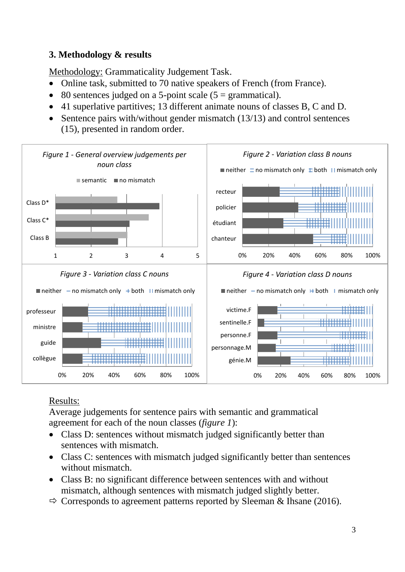# **3. Methodology & results**

Methodology: Grammaticality Judgement Task.

- Online task, submitted to 70 native speakers of French (from France).
- 80 sentences judged on a 5-point scale  $(5 = \text{grammatical})$ .
- 41 superlative partitives; 13 different animate nouns of classes B, C and D.
- Sentence pairs with/without gender mismatch (13/13) and control sentences (15), presented in random order.



# Results:

Average judgements for sentence pairs with semantic and grammatical agreement for each of the noun classes (*figure 1*):

- Class D: sentences without mismatch judged significantly better than sentences with mismatch.
- Class C: sentences with mismatch judged significantly better than sentences without mismatch.
- Class B: no significant difference between sentences with and without mismatch, although sentences with mismatch judged slightly better.
- $\Rightarrow$  Corresponds to agreement patterns reported by Sleeman & Ihsane (2016).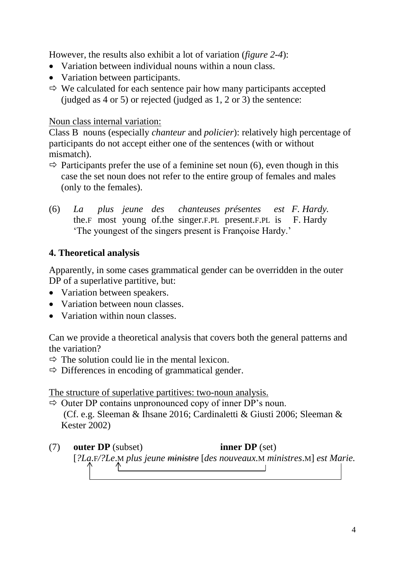However, the results also exhibit a lot of variation (*figure 2-4*):

- Variation between individual nouns within a noun class.
- Variation between participants.
- $\Rightarrow$  We calculated for each sentence pair how many participants accepted (judged as 4 or 5) or rejected (judged as 1, 2 or 3) the sentence:

## Noun class internal variation:

Class B nouns (especially *chanteur* and *policier*): relatively high percentage of participants do not accept either one of the sentences (with or without mismatch).

- $\Rightarrow$  Participants prefer the use of a feminine set noun (6), even though in this case the set noun does not refer to the entire group of females and males (only to the females).
- (6) *La plus jeune des chanteuses présentes est F. Hardy.* the.F most young of.the singer.F.PL present.F.PL is F. Hardy 'The youngest of the singers present is Françoise Hardy.'

# **4. Theoretical analysis**

Apparently, in some cases grammatical gender can be overridden in the outer DP of a superlative partitive, but:

- Variation between speakers.
- Variation between noun classes.
- Variation within noun classes.

Can we provide a theoretical analysis that covers both the general patterns and the variation?

- $\Rightarrow$  The solution could lie in the mental lexicon.
- $\Rightarrow$  Differences in encoding of grammatical gender.

The structure of superlative partitives: two-noun analysis.

 $\Rightarrow$  Outer DP contains unpronounced copy of inner DP's noun. (Cf. e.g. Sleeman & Ihsane 2016; Cardinaletti & Giusti 2006; Sleeman & Kester 2002)

(7) **outer DP** (subset) **inner DP** (set) [*?La.*F*/?Le*.M *plus jeune ministre* [*des nouveaux.*M *ministres*.M] *est Marie.*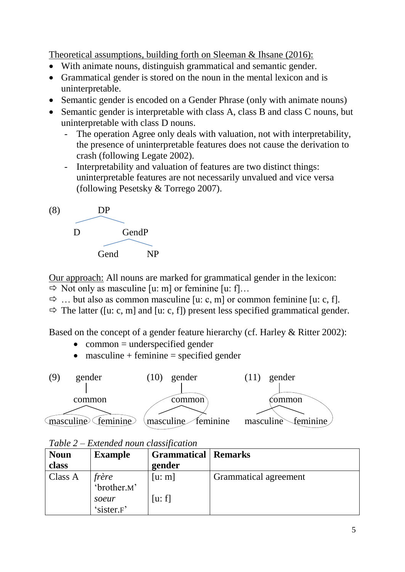Theoretical assumptions, building forth on Sleeman & Ihsane (2016):

- With animate nouns, distinguish grammatical and semantic gender.
- Grammatical gender is stored on the noun in the mental lexicon and is uninterpretable.
- Semantic gender is encoded on a Gender Phrase (only with animate nouns)
- Semantic gender is interpretable with class A, class B and class C nouns, but uninterpretable with class D nouns.
	- The operation Agree only deals with valuation, not with interpretability, the presence of uninterpretable features does not cause the derivation to crash (following Legate 2002).
	- Interpretability and valuation of features are two distinct things: uninterpretable features are not necessarily unvalued and vice versa (following Pesetsky & Torrego 2007).



Our approach: All nouns are marked for grammatical gender in the lexicon:  $\Rightarrow$  Not only as masculine [u: m] or feminine [u: f]...

- $\Rightarrow$  ... but also as common masculine [u: c, m] or common feminine [u: c, f].
- $\Rightarrow$  The latter ([u: c, m] and [u: c, f]) present less specified grammatical gender.

Based on the concept of a gender feature hierarchy (cf. Harley & Ritter 2002):

- $\bullet$  common = underspecified gender
- masculine + feminine = specified gender



*Table 2 – Extended noun classification*

| <b>Noun</b> | <b>Example</b>       | <b>Grammatical   Remarks</b> |                       |
|-------------|----------------------|------------------------------|-----------------------|
| class       |                      | gender                       |                       |
| Class A     | frère<br>'brother.M' | [u: m]                       | Grammatical agreement |
|             |                      |                              |                       |
|             | soeur                | [u: f]                       |                       |
|             | 'sister.F'           |                              |                       |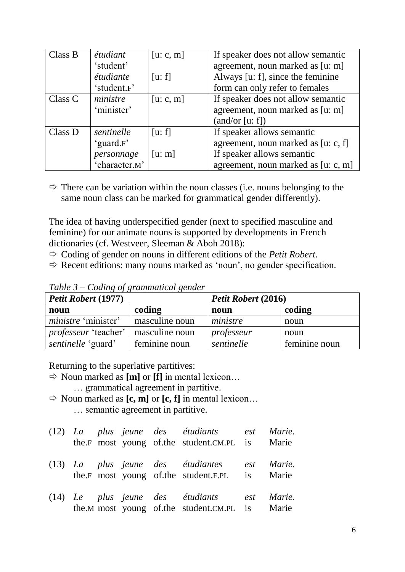| Class B | étudiant      | [u: c, m] | If speaker does not allow semantic  |  |
|---------|---------------|-----------|-------------------------------------|--|
|         | 'student'     |           | agreement, noun marked as [u: m]    |  |
|         | étudiante     | [u: f]    | Always [u: f], since the feminine   |  |
|         | 'student.F'   |           | form can only refer to females      |  |
| Class C | ministre      | [u: c, m] | If speaker does not allow semantic  |  |
|         | 'minister'    |           | agreement, noun marked as [u: m]    |  |
|         |               |           | (and/or [u: f])                     |  |
| Class D | sentinelle    | [u: f]    | If speaker allows semantic          |  |
|         | 'guard.F'     |           | agreement, noun marked as [u: c, f] |  |
|         | personnage    | [u: m]    | If speaker allows semantic          |  |
|         | 'character.M' |           | agreement, noun marked as [u: c, m] |  |

 $\Rightarrow$  There can be variation within the noun classes (i.e. nouns belonging to the same noun class can be marked for grammatical gender differently).

The idea of having underspecified gender (next to specified masculine and feminine) for our animate nouns is supported by developments in French dictionaries (cf. Westveer, Sleeman & Aboh 2018):

- $\Rightarrow$  Coding of gender on nouns in different editions of the *Petit Robert*.
- $\Rightarrow$  Recent editions: many nouns marked as 'noun', no gender specification.

| Petit Robert (1977)         |                | Petit Robert (2016) |               |  |
|-----------------------------|----------------|---------------------|---------------|--|
| noun                        | coding         | noun                | coding        |  |
| <i>ministre</i> 'minister'  | masculine noun | ministre            | noun          |  |
| <i>professeur</i> 'teacher' | masculine noun | professeur          | noun          |  |
| sentinelle 'guard'          | feminine noun  | sentinelle          | feminine noun |  |

*Table 3 – Coding of grammatical gender*

Returning to the superlative partitives:

- $\Rightarrow$  Noun marked as  $[m]$  or  $[f]$  in mental lexicon... … grammatical agreement in partitive.
- $\Rightarrow$  Noun marked as  $[c, m]$  or  $[c, f]$  in mental lexicon... … semantic agreement in partitive.

|  |  | (12) La plus jeune des étudiants est Marie.<br>the.F most young of.the student.CM.PL is Marie |  |
|--|--|-----------------------------------------------------------------------------------------------|--|
|  |  | (13) La plus jeune des étudiantes est Marie.<br>the.F most young of.the student.F.PL is Marie |  |
|  |  | (14) Le plus jeune des étudiants est Marie.<br>the.M most young of.the student.CM.PL is Marie |  |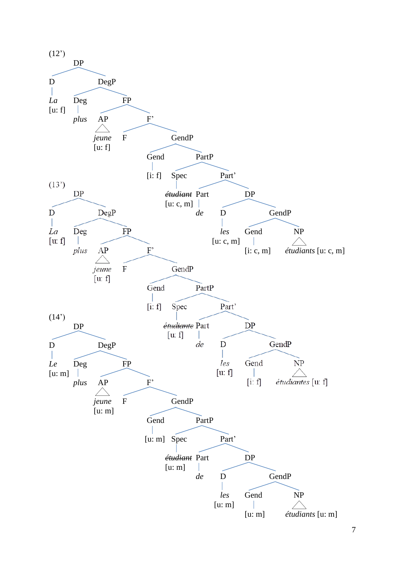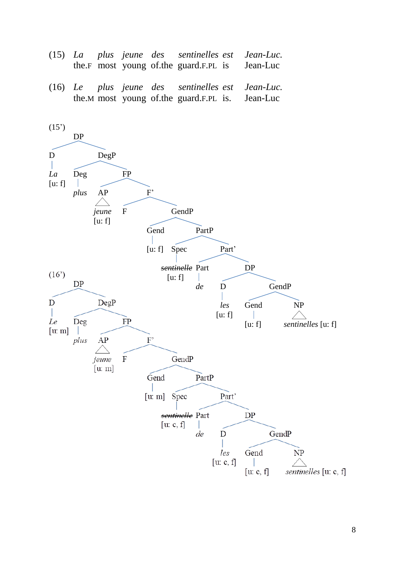- (15) *La plus jeune des sentinelles est Jean-Luc.* the.F most young of.the guard.F.PL is Jean-Luc
- (16) *Le plus jeune des sentinelles est Jean-Luc.* the.M most young of.the guard.F.PL is. Jean-Luc